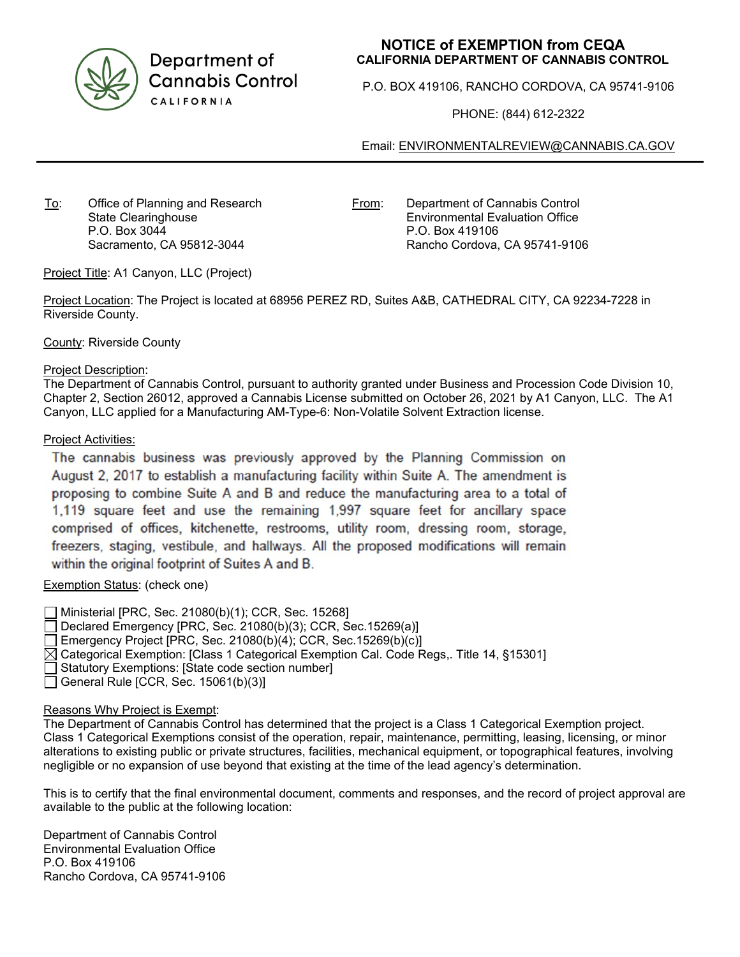

Department of **Cannabis Control** CALIFORNIA

## **NOTICE of EXEMPTION from CEQA CALIFORNIA DEPARTMENT OF CANNABIS CONTROL**

P.O. BOX 419106, RANCHO CORDOVA, CA 95741-9106

PHONE: (844) 612-2322

Email: [ENVIRONMENTALREVIEW@CANNABIS.CA.GOV](mailto:ENVIRONMENTALREVIEW@CANNABIS.CA.GOV)

To: Office of Planning and Research State Clearinghouse P.O. Box 3044 Sacramento, CA 95812-3044

From: Department of Cannabis Control Environmental Evaluation Office P.O. Box 419106 Rancho Cordova, CA 95741-9106

Project Title: A1 Canyon, LLC (Project)

Project Location: The Project is located at 68956 PEREZ RD, Suites A&B, CATHEDRAL CITY, CA 92234-7228 in Riverside County.

County: Riverside County

#### Project Description:

The Department of Cannabis Control, pursuant to authority granted under Business and Procession Code Division 10, Chapter 2, Section 26012, approved a Cannabis License submitted on October 26, 2021 by A1 Canyon, LLC. The A1 Canyon, LLC applied for a Manufacturing AM-Type-6: Non-Volatile Solvent Extraction license.

### Project Activities:

The cannabis business was previously approved by the Planning Commission on August 2, 2017 to establish a manufacturing facility within Suite A. The amendment is proposing to combine Suite A and B and reduce the manufacturing area to a total of 1,119 square feet and use the remaining 1,997 square feet for ancillary space comprised of offices, kitchenette, restrooms, utility room, dressing room, storage, freezers, staging, vestibule, and hallways. All the proposed modifications will remain within the original footprint of Suites A and B.

### Exemption Status: (check one)

Ministerial [PRC, Sec. 21080(b)(1); CCR, Sec. 15268]  $\Box$  Declared Emergency [PRC, Sec. 21080(b)(3); CCR, Sec.15269(a)] Emergency Project [PRC, Sec. 21080(b)(4); CCR, Sec. 15269(b)(c)]  $\boxtimes$  Categorical Exemption: [Class 1 Categorical Exemption Cal. Code Regs,. Title 14, §15301] Statutory Exemptions: [State code section number] General Rule [CCR, Sec.  $15061(b)(3)$ ]

### Reasons Why Project is Exempt:

The Department of Cannabis Control has determined that the project is a Class 1 Categorical Exemption project. Class 1 Categorical Exemptions consist of the operation, repair, maintenance, permitting, leasing, licensing, or minor alterations to existing public or private structures, facilities, mechanical equipment, or topographical features, involving negligible or no expansion of use beyond that existing at the time of the lead agency's determination.

This is to certify that the final environmental document, comments and responses, and the record of project approval are available to the public at the following location:

Department of Cannabis Control Environmental Evaluation Office P.O. Box 419106 Rancho Cordova, CA 95741-9106